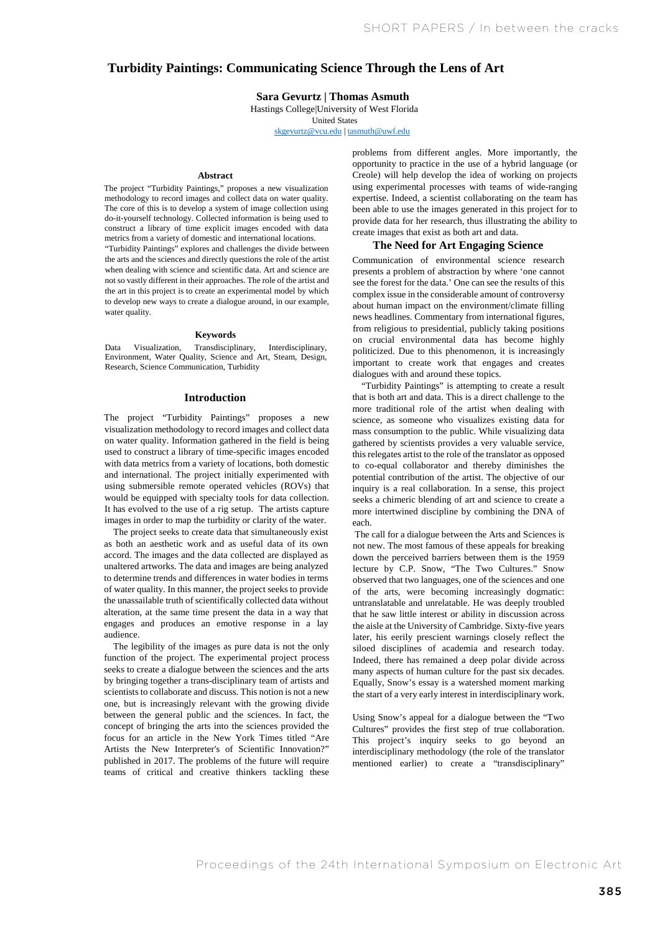# **Turbidity Paintings: Communicating Science Through the Lens of Art**

#### *Turbidity Paintings: Communicating Science Through the Lens of Art.* Sara Bal<br>Heating **Sara Gevurtz | Thomas Asmuth**

Hastings College|University of West Florida

United States

skgevurtz@vcu.edu | tasmuth@uwf.edu

### **Abstract**

The project "Turbidity Paintings," proposes a new visualization methodology to record images and collect data on water quality. The core of this is to develop a system of image collection using do-it-yourself technology. Collected information is being used to construct a library of time explicit images encoded with data metrics from a variety of domestic and international locations. "Turbidity Paintings" explores and challenges the divide between the arts and the sciences and directly questions the role of the artist when dealing with science and scientific data. Art and science are not so vastly different in their approaches. The role of the artist and the art in this project is to create an experimental model by which

### **Keywords**

to develop new ways to create a dialogue around, in our example,

water quality.

Data Visualization, Transdisciplinary, Interdisciplinary, Environment, Water Quality, Science and Art, Steam, Design, Research, Science Communication, Turbidity

#### **Introduction**

The project "Turbidity Paintings" proposes a new visualization methodology to record images and collect data on water quality. Information gathered in the field is being used to construct a library of time-specific images encoded with data metrics from a variety of locations, both domestic and international. The project initially experimented with using submersible remote operated vehicles (ROVs) that would be equipped with specialty tools for data collection. It has evolved to the use of a rig setup. The artists capture images in order to map the turbidity or clarity of the water.

The project seeks to create data that simultaneously exist as both an aesthetic work and as useful data of its own accord. The images and the data collected are displayed as unaltered artworks. The data and images are being analyzed to determine trends and differences in water bodies in terms of water quality. In this manner, the project seeks to provide the unassailable truth of scientifically collected data without alteration, at the same time present the data in a way that engages and produces an emotive response in a lay audience.

The legibility of the images as pure data is not the only function of the project. The experimental project process seeks to create a dialogue between the sciences and the arts by bringing together a trans-disciplinary team of artists and scientists to collaborate and discuss. This notion is not a new one, but is increasingly relevant with the growing divide between the general public and the sciences. In fact, the concept of bringing the arts into the sciences provided the focus for an article in the New York Times titled "Are Artists the New Interpreter's of Scientific Innovation?" published in 2017. The problems of the future will require teams of critical and creative thinkers tackling these problems from different angles. More importantly, the opportunity to practice in the use of a hybrid language (or Creole) will help develop the idea of working on projects using experimental processes with teams of wide-ranging expertise. Indeed, a scientist collaborating on the team has been able to use the images generated in this project for to provide data for her research, thus illustrating the ability to create images that exist as both art and data.

#### **The Need for Art Engaging Science**

Communication of environmental science research presents a problem of abstraction by where 'one cannot see the forest for the data.' One can see the results of this complex issue in the considerable amount of controversy about human impact on the environment/climate filling news headlines. Commentary from international figures, from religious to presidential, publicly taking positions on crucial environmental data has become highly politicized. Due to this phenomenon, it is increasingly important to create work that engages and creates dialogues with and around these topics.

"Turbidity Paintings" is attempting to create a result that is both art and data. This is a direct challenge to the more traditional role of the artist when dealing with science, as someone who visualizes existing data for mass consumption to the public. While visualizing data gathered by scientists provides a very valuable service, this relegates artist to the role of the translator as opposed to co-equal collaborator and thereby diminishes the potential contribution of the artist. The objective of our inquiry is a real collaboration. In a sense, this project seeks a chimeric blending of art and science to create a more intertwined discipline by combining the DNA of each.

The call for a dialogue between the Arts and Sciences is not new. The most famous of these appeals for breaking down the perceived barriers between them is the 1959 lecture by C.P. Snow, "The Two Cultures." Snow observed that two languages, one of the sciences and one of the arts, were becoming increasingly dogmatic: untranslatable and unrelatable. He was deeply troubled that he saw little interest or ability in discussion across the aisle at the University of Cambridge. Sixty-five years later, his eerily prescient warnings closely reflect the siloed disciplines of academia and research today. Indeed, there has remained a deep polar divide across many aspects of human culture for the past six decades. Equally, Snow's essay is a watershed moment marking the start of a very early interest in interdisciplinary work.

Using Snow's appeal for a dialogue between the "Two Cultures" provides the first step of true collaboration. This project's inquiry seeks to go beyond an interdisciplinary methodology (the role of the translator mentioned earlier) to create a "transdisciplinary"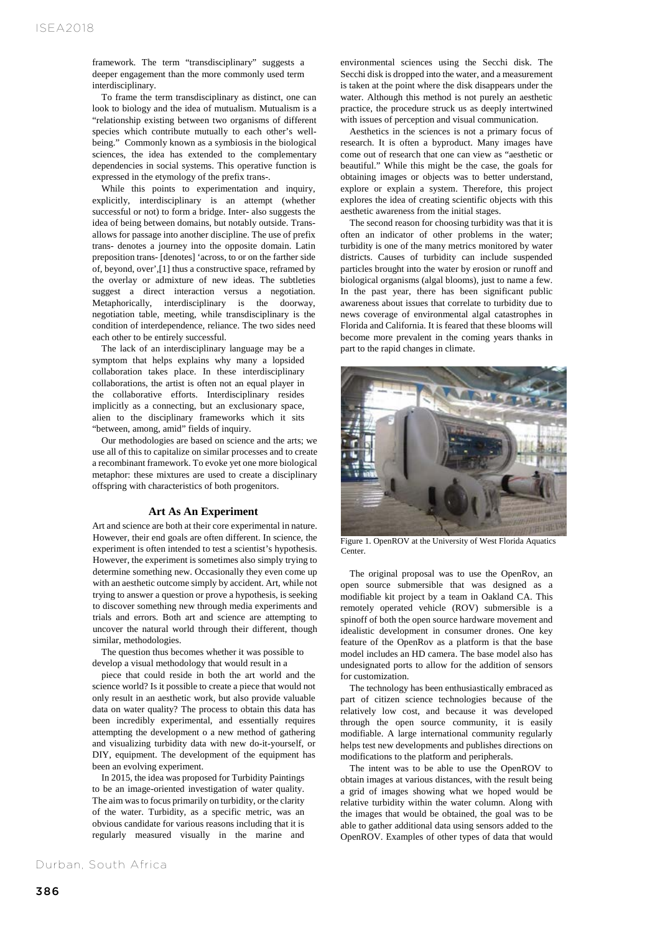framework. The term "transdisciplinary" suggests a deeper engagement than the more commonly used term interdisciplinary.

To frame the term transdisciplinary as distinct, one can look to biology and the idea of mutualism. Mutualism is a "relationship existing between two organisms of different species which contribute mutually to each other's wellbeing." Commonly known as a symbiosis in the biological sciences, the idea has extended to the complementary dependencies in social systems. This operative function is expressed in the etymology of the prefix trans-.

While this points to experimentation and inquiry, explicitly, interdisciplinary is an attempt (whether successful or not) to form a bridge. Inter- also suggests the idea of being between domains, but notably outside. Transallows for passage into another discipline. The use of prefix trans- denotes a journey into the opposite domain. Latin preposition trans- [denotes] 'across, to or on the farther side of, beyond, over',[1] thus a constructive space, reframed by the overlay or admixture of new ideas. The subtleties suggest a direct interaction versus a negotiation. Metaphorically, interdisciplinary is the doorway, negotiation table, meeting, while transdisciplinary is the condition of interdependence, reliance. The two sides need each other to be entirely successful.

The lack of an interdisciplinary language may be a symptom that helps explains why many a lopsided collaboration takes place. In these interdisciplinary collaborations, the artist is often not an equal player in the collaborative efforts. Interdisciplinary resides implicitly as a connecting, but an exclusionary space, alien to the disciplinary frameworks which it sits "between, among, amid" fields of inquiry.

Our methodologies are based on science and the arts; we use all of this to capitalize on similar processes and to create a recombinant framework. To evoke yet one more biological metaphor: these mixtures are used to create a disciplinary offspring with characteristics of both progenitors.

### **Art As An Experiment**

Art and science are both at their core experimental in nature. However, their end goals are often different. In science, the experiment is often intended to test a scientist's hypothesis. However, the experiment is sometimes also simply trying to determine something new. Occasionally they even come up with an aesthetic outcome simply by accident. Art, while not trying to answer a question or prove a hypothesis, is seeking to discover something new through media experiments and trials and errors. Both art and science are attempting to uncover the natural world through their different, though similar, methodologies.

The question thus becomes whether it was possible to develop a visual methodology that would result in a

piece that could reside in both the art world and the science world? Is it possible to create a piece that would not only result in an aesthetic work, but also provide valuable data on water quality? The process to obtain this data has been incredibly experimental, and essentially requires attempting the development o a new method of gathering and visualizing turbidity data with new do-it-yourself, or DIY, equipment. The development of the equipment has been an evolving experiment.

In 2015, the idea was proposed for Turbidity Paintings to be an image-oriented investigation of water quality. The aim was to focus primarily on turbidity, or the clarity of the water. Turbidity, as a specific metric, was an obvious candidate for various reasons including that it is regularly measured visually in the marine and

environmental sciences using the Secchi disk. The Secchi disk is dropped into the water, and a measurement is taken at the point where the disk disappears under the water. Although this method is not purely an aesthetic practice, the procedure struck us as deeply intertwined with issues of perception and visual communication.

Aesthetics in the sciences is not a primary focus of research. It is often a byproduct. Many images have come out of research that one can view as "aesthetic or beautiful." While this might be the case, the goals for obtaining images or objects was to better understand, explore or explain a system. Therefore, this project explores the idea of creating scientific objects with this aesthetic awareness from the initial stages.

The second reason for choosing turbidity was that it is often an indicator of other problems in the water; turbidity is one of the many metrics monitored by water districts. Causes of turbidity can include suspended particles brought into the water by erosion or runoff and biological organisms (algal blooms), just to name a few. In the past year, there has been significant public awareness about issues that correlate to turbidity due to news coverage of environmental algal catastrophes in Florida and California. It is feared that these blooms will become more prevalent in the coming years thanks in part to the rapid changes in climate.



Figure 1. OpenROV at the University of West Florida Aquatics Center.

The original proposal was to use the OpenRov, an open source submersible that was designed as a modifiable kit project by a team in Oakland CA. This remotely operated vehicle (ROV) submersible is a spinoff of both the open source hardware movement and idealistic development in consumer drones. One key feature of the OpenRov as a platform is that the base model includes an HD camera. The base model also has undesignated ports to allow for the addition of sensors for customization.

The technology has been enthusiastically embraced as part of citizen science technologies because of the relatively low cost, and because it was developed through the open source community, it is easily modifiable. A large international community regularly helps test new developments and publishes directions on modifications to the platform and peripherals.

The intent was to be able to use the OpenROV to obtain images at various distances, with the result being a grid of images showing what we hoped would be relative turbidity within the water column. Along with the images that would be obtained, the goal was to be able to gather additional data using sensors added to the OpenROV. Examples of other types of data that would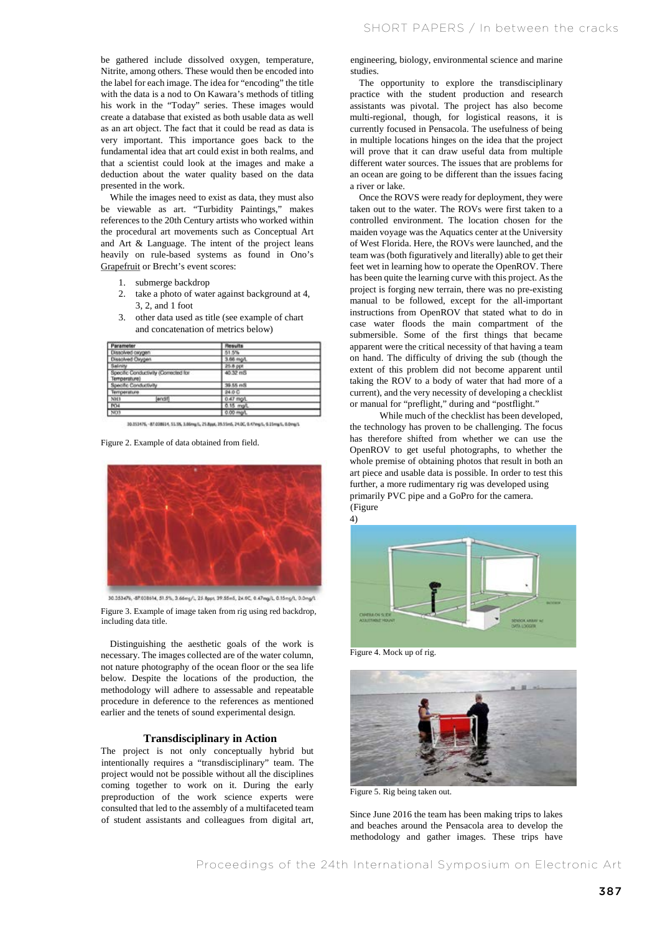be gathered include dissolved oxygen, temperature, Nitrite, among others. These would then be encoded into the label for each image. The idea for "encoding" the title with the data is a nod to On Kawara's methods of titling his work in the "Today" series. These images would create a database that existed as both usable data as well as an art object. The fact that it could be read as data is very important. This importance goes back to the fundamental idea that art could exist in both realms, and that a scientist could look at the images and make a deduction about the water quality based on the data presented in the work.

While the images need to exist as data, they must also be viewable as art. "Turbidity Paintings," makes references to the 20th Century artists who worked within the procedural art movements such as Conceptual Art and Art & Language. The intent of the project leans heavily on rule-based systems as found in Ono's Grapefruit or Brecht's event scores:

- 1. submerge backdrop
- 2. take a photo of water against background at 4, 3, 2, and 1 foot

| Parameter                                            | Results   |  |
|------------------------------------------------------|-----------|--|
| Dissolved coppen                                     | 51.5%     |  |
| Dissolved Oxygen                                     | 3.66 mg/L |  |
| Salinity                                             | 25.8 ppt  |  |
| Specific Conductivity (Corrected for<br>Temperature) | 40.32 mS  |  |
| Specific Conductivity                                | 39.55 mS  |  |
| Temperature                                          | 24.0 C    |  |
| N <sub>2</sub><br>endif                              | 0.47 mp/L |  |
| <b>PO4</b>                                           | 0.15 mg/L |  |
| NOT                                                  | 0.00 mo/t |  |

3. other data used as title (see example of chart and concatenation of metrics below)

30.153476, -87.038614, 51.5%, 3.66mg/L, 25.8ppc, 35.55m5, 24.0C, 0.47mg/L, 0.15mg/L, 0.0mg/L

Figure 2. Example of data obtained from field.



30.353476, 47.038614, 51.5%, 3.66mg/L, 25.8ppt, 39.55m5, 24.0C, 0.47mg/L, 0.15mg/L, 0.0mg/L Figure 3. Example of image taken from rig using red backdrop, including data title.

Distinguishing the aesthetic goals of the work is necessary. The images collected are of the water column, not nature photography of the ocean floor or the sea life below. Despite the locations of the production, the methodology will adhere to assessable and repeatable procedure in deference to the references as mentioned earlier and the tenets of sound experimental design.

#### **Transdisciplinary in Action**

The project is not only conceptually hybrid but intentionally requires a "transdisciplinary" team. The project would not be possible without all the disciplines coming together to work on it. During the early preproduction of the work science experts were consulted that led to the assembly of a multifaceted team of student assistants and colleagues from digital art,

engineering, biology, environmental science and marine studies.

The opportunity to explore the transdisciplinary practice with the student production and research assistants was pivotal. The project has also become multi-regional, though, for logistical reasons, it is currently focused in Pensacola. The usefulness of being in multiple locations hinges on the idea that the project will prove that it can draw useful data from multiple different water sources. The issues that are problems for an ocean are going to be different than the issues facing a river or lake.

Once the ROVS were ready for deployment, they were taken out to the water. The ROVs were first taken to a controlled environment. The location chosen for the maiden voyage was the Aquatics center at the University of West Florida. Here, the ROVs were launched, and the team was (both figuratively and literally) able to get their feet wet in learning how to operate the OpenROV. There has been quite the learning curve with this project. As the project is forging new terrain, there was no pre-existing manual to be followed, except for the all-important instructions from OpenROV that stated what to do in case water floods the main compartment of the submersible. Some of the first things that became apparent were the critical necessity of that having a team on hand. The difficulty of driving the sub (though the extent of this problem did not become apparent until taking the ROV to a body of water that had more of a current), and the very necessity of developing a checklist or manual for "preflight," during and "postflight."

While much of the checklist has been developed, the technology has proven to be challenging. The focus has therefore shifted from whether we can use the OpenROV to get useful photographs, to whether the whole premise of obtaining photos that result in both an art piece and usable data is possible. In order to test this further, a more rudimentary rig was developed using primarily PVC pipe and a GoPro for the camera. (Figure



Figure 4. Mock up of rig.



Figure 5. Rig being taken out.

Since June 2016 the team has been making trips to lakes and beaches around the Pensacola area to develop the methodology and gather images. These trips have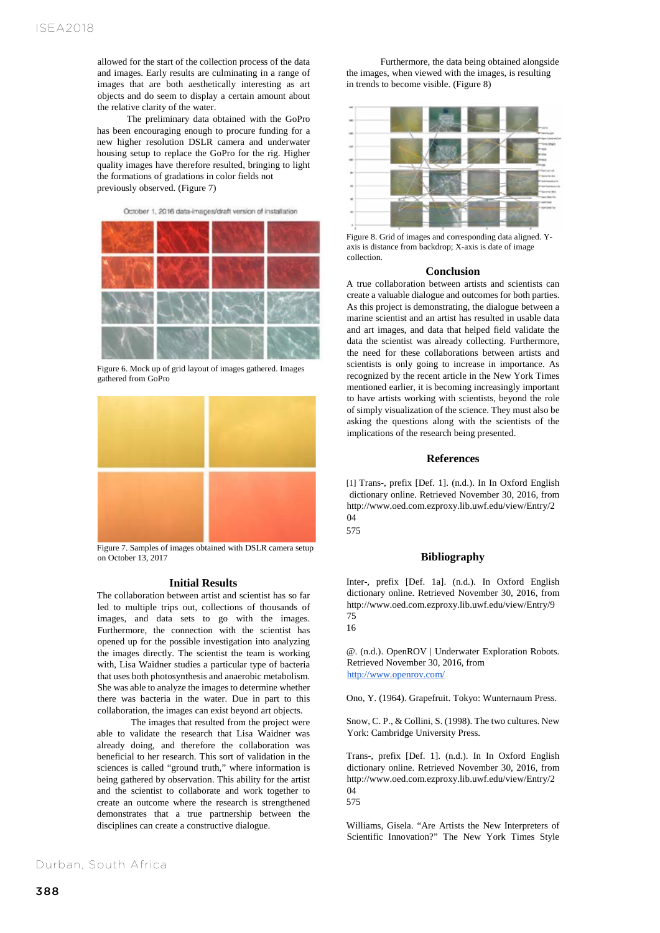allowed for the start of the collection process of the data and images. Early results are culminating in a range of images that are both aesthetically interesting as art objects and do seem to display a certain amount about the relative clarity of the water.

The preliminary data obtained with the GoPro has been encouraging enough to procure funding for a new higher resolution DSLR camera and underwater housing setup to replace the GoPro for the rig. Higher quality images have therefore resulted, bringing to light the formations of gradations in color fields not previously observed. (Figure 7)

October 1, 2016 data-images/draft version of installation

Figure 6. Mock up of grid layout of images gathered. Images gathered from GoPro



Figure 7. Samples of images obtained with DSLR camera setup on October 13, 2017

## **Initial Results**

The collaboration between artist and scientist has so far led to multiple trips out, collections of thousands of images, and data sets to go with the images. Furthermore, the connection with the scientist has opened up for the possible investigation into analyzing the images directly. The scientist the team is working with, Lisa Waidner studies a particular type of bacteria that uses both photosynthesis and anaerobic metabolism. She was able to analyze the images to determine whether there was bacteria in the water. Due in part to this collaboration, the images can exist beyond art objects.

The images that resulted from the project were able to validate the research that Lisa Waidner was already doing, and therefore the collaboration was beneficial to her research. This sort of validation in the sciences is called "ground truth," where information is being gathered by observation. This ability for the artist and the scientist to collaborate and work together to create an outcome where the research is strengthened demonstrates that a true partnership between the disciplines can create a constructive dialogue.

Furthermore, the data being obtained alongside the images, when viewed with the images, is resulting in trends to become visible. (Figure 8)



Figure 8. Grid of images and corresponding data aligned. Yaxis is distance from backdrop; X-axis is date of image collection.

## **Conclusion**

A true collaboration between artists and scientists can create a valuable dialogue and outcomes for both parties. As this project is demonstrating, the dialogue between a marine scientist and an artist has resulted in usable data and art images, and data that helped field validate the data the scientist was already collecting. Furthermore, the need for these collaborations between artists and scientists is only going to increase in importance. As recognized by the recent article in the New York Times mentioned earlier, it is becoming increasingly important to have artists working with scientists, beyond the role of simply visualization of the science. They must also be asking the questions along with the scientists of the implications of the research being presented.

## **References**

[1] Trans-, prefix [Def. 1]. (n.d.). In In Oxford English dictionary online. Retrieved November 30, 2016, from http://www.oed.com.ezproxy.lib.uwf.edu/view/Entry/2 04

575

## **Bibliography**

Inter-, prefix [Def. 1a]. (n.d.). In Oxford English dictionary online. Retrieved November 30, 2016, from http://www.oed.com.ezproxy.lib.uwf.edu/view/Entry/9 75

@. (n.d.). OpenROV | Underwater Exploration Robots. Retrieved November 30, 2016, from http://www.openrov.com/

Ono, Y. (1964). Grapefruit. Tokyo: Wunternaum Press.

Snow, C. P., & Collini, S. (1998). The two cultures. New York: Cambridge University Press.

Trans-, prefix [Def. 1]. (n.d.). In In Oxford English dictionary online. Retrieved November 30, 2016, from http://www.oed.com.ezproxy.lib.uwf.edu/view/Entry/2  $04$ 575

Williams, Gisela. "Are Artists the New Interpreters of Scientific Innovation?" The New York Times Style

Durban, South Africa

<sup>16</sup>